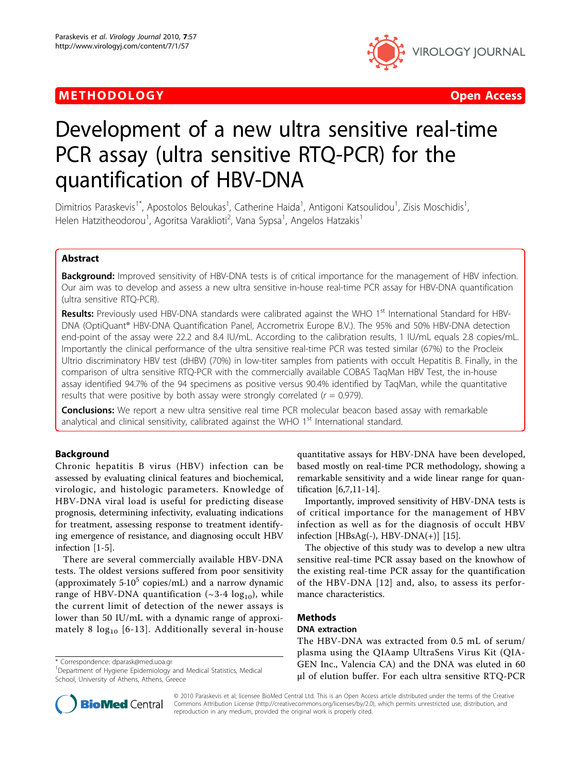## METHODOLOGY AND THE SERVICE SERVICES AND THE SERVICE SERVICES AND THE SERVICES OPEN ACCESS



# Development of a new ultra sensitive real-time PCR assay (ultra sensitive RTQ-PCR) for the quantification of HBV-DNA

Dimitrios Paraskevis<sup>1\*</sup>, Apostolos Beloukas<sup>1</sup>, Catherine Haida<sup>1</sup>, Antigoni Katsoulidou<sup>1</sup>, Zisis Moschidis<sup>1</sup> , Helen Hatzitheodorou<sup>1</sup>, Agoritsa Varaklioti<sup>2</sup>, Vana Sypsa<sup>1</sup>, Angelos Hatzakis<sup>1</sup>

## Abstract

**Background:** Improved sensitivity of HBV-DNA tests is of critical importance for the management of HBV infection. Our aim was to develop and assess a new ultra sensitive in-house real-time PCR assay for HBV-DNA quantification (ultra sensitive RTQ-PCR).

Results: Previously used HBV-DNA standards were calibrated against the WHO 1<sup>st</sup> International Standard for HBV-DNA (OptiQuant® HBV-DNA Quantification Panel, Accrometrix Europe B.V.). The 95% and 50% HBV-DNA detection end-point of the assay were 22.2 and 8.4 IU/mL. According to the calibration results, 1 IU/mL equals 2.8 copies/mL. Importantly the clinical performance of the ultra sensitive real-time PCR was tested similar (67%) to the Procleix Ultrio discriminatory HBV test (dHBV) (70%) in low-titer samples from patients with occult Hepatitis B. Finally, in the comparison of ultra sensitive RTQ-PCR with the commercially available COBAS TaqMan HBV Test, the in-house assay identified 94.7% of the 94 specimens as positive versus 90.4% identified by TaqMan, while the quantitative results that were positive by both assay were strongly correlated ( $r = 0.979$ ).

**Conclusions:** We report a new ultra sensitive real time PCR molecular beacon based assay with remarkable analytical and clinical sensitivity, calibrated against the WHO 1<sup>st</sup> International standard.

## Background

Chronic hepatitis B virus (HBV) infection can be assessed by evaluating clinical features and biochemical, virologic, and histologic parameters. Knowledge of HBV-DNA viral load is useful for predicting disease prognosis, determining infectivity, evaluating indications for treatment, assessing response to treatment identifying emergence of resistance, and diagnosing occult HBV infection [[1-5](#page-5-0)].

There are several commercially available HBV-DNA tests. The oldest versions suffered from poor sensitivity (approximately  $5.10^5$  copies/mL) and a narrow dynamic range of HBV-DNA quantification  $(\sim 3-4 \log_{10})$ , while the current limit of detection of the newer assays is lower than 50 IU/mL with a dynamic range of approximately 8  $log_{10}$  [[6-13\]](#page-5-0). Additionally several in-house

\* Correspondence: [dparask@med.uoa.gr](mailto:dparask@med.uoa.gr)

<sup>1</sup>Department of Hygiene Epidemiology and Medical Statistics, Medical School, University of Athens, Athens, Greece

quantitative assays for HBV-DNA have been developed, based mostly on real-time PCR methodology, showing a remarkable sensitivity and a wide linear range for quantification [\[6,7,11-14](#page-5-0)].

Importantly, improved sensitivity of HBV-DNA tests is of critical importance for the management of HBV infection as well as for the diagnosis of occult HBV infection [HBsAg(-),  $HBV-DNA(+)$ ] [\[15](#page-5-0)].

The objective of this study was to develop a new ultra sensitive real-time PCR assay based on the knowhow of the existing real-time PCR assay for the quantification of the HBV-DNA [[12\]](#page-5-0) and, also, to assess its performance characteristics.

### **Methods**

#### DNA extraction

The HBV-DNA was extracted from 0.5 mL of serum/ plasma using the QIAamp UltraSens Virus Kit (QIA-GEN Inc., Valencia CA) and the DNA was eluted in 60 μl of elution buffer. For each ultra sensitive RTQ-PCR



© 2010 Paraskevis et al; licensee BioMed Central Ltd. This is an Open Access article distributed under the terms of the Creative Commons Attribution License [\(http://creativecommons.org/licenses/by/2.0](http://creativecommons.org/licenses/by/2.0)), which permits unrestricted use, distribution, and reproduction in any medium, provided the original work is properly cited.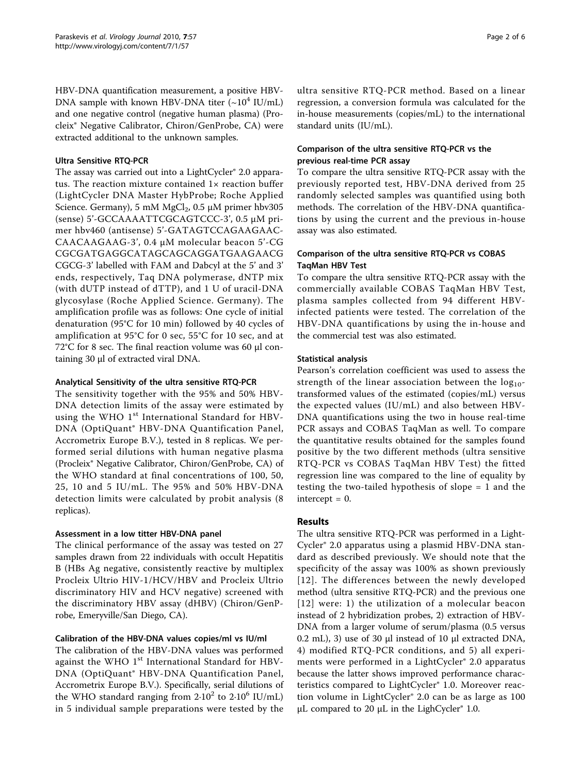HBV-DNA quantification measurement, a positive HBV-DNA sample with known HBV-DNA titer  $(\sim 10^4 \text{ IU/mL})$ and one negative control (negative human plasma) (Procleix® Negative Calibrator, Chiron/GenProbe, CA) were extracted additional to the unknown samples.

#### Ultra Sensitive RTQ-PCR

The assay was carried out into a LightCycler® 2.0 apparatus. The reaction mixture contained  $1\times$  reaction buffer (LightCycler DNA Master HybProbe; Roche Applied Science. Germany), 5 mM  $MgCl<sub>2</sub>$ , 0.5  $\mu$ M primer hbv305 (sense) 5'-GCCAAAATTCGCAGTCCC-3', 0.5 μM primer hbv460 (antisense) 5'-GATAGTCCAGAAGAAC-CAACAAGAAG-3', 0.4 μM molecular beacon 5'-CG CGCGATGAGGCATAGCAGCAGGATGAAGAACG CGCG-3' labelled with FAM and Dabcyl at the 5' and 3' ends, respectively, Taq DNA polymerase, dNTP mix (with dUTP instead of dTTP), and 1 U of uracil-DNA glycosylase (Roche Applied Science. Germany). The amplification profile was as follows: One cycle of initial denaturation (95°C for 10 min) followed by 40 cycles of amplification at 95°C for 0 sec, 55°C for 10 sec, and at 72°C for 8 sec. The final reaction volume was 60 μl containing 30 μl of extracted viral DNA.

#### Analytical Sensitivity of the ultra sensitive RTQ-PCR

The sensitivity together with the 95% and 50% HBV-DNA detection limits of the assay were estimated by using the WHO 1<sup>st</sup> International Standard for HBV-DNA (OptiQuant® HBV-DNA Quantification Panel, Accrometrix Europe B.V.), tested in 8 replicas. We performed serial dilutions with human negative plasma (Procleix® Negative Calibrator, Chiron/GenProbe, CA) of the WHO standard at final concentrations of 100, 50, 25, 10 and 5 IU/mL. The 95% and 50% HBV-DNA detection limits were calculated by probit analysis (8 replicas).

### Assessment in a low titter HBV-DNA panel

The clinical performance of the assay was tested on 27 samples drawn from 22 individuals with occult Hepatitis B (HBs Ag negative, consistently reactive by multiplex Procleix Ultrio HIV-1/HCV/HBV and Procleix Ultrio discriminatory HIV and HCV negative) screened with the discriminatory HBV assay (dHBV) (Chiron/GenProbe, Emeryville/San Diego, CA).

### Calibration of the HBV-DNA values copies/ml vs IU/ml

The calibration of the HBV-DNA values was performed against the WHO  $1<sup>st</sup>$  International Standard for HBV-DNA (OptiQuant® HBV-DNA Quantification Panel, Accrometrix Europe B.V.). Specifically, serial dilutions of the WHO standard ranging from  $2.10^2$  to  $2.10^6$  IU/mL) in 5 individual sample preparations were tested by the ultra sensitive RTQ-PCR method. Based on a linear regression, a conversion formula was calculated for the in-house measurements (copies/mL) to the international standard units (IU/mL).

### Comparison of the ultra sensitive RTQ-PCR vs the previous real-time PCR assay

To compare the ultra sensitive RTQ-PCR assay with the previously reported test, HBV-DNA derived from 25 randomly selected samples was quantified using both methods. The correlation of the HBV-DNA quantifications by using the current and the previous in-house assay was also estimated.

#### Comparison of the ultra sensitive RTQ-PCR vs COBAS TaqMan HBV Test

To compare the ultra sensitive RTQ-PCR assay with the commercially available COBAS TaqMan HBV Test, plasma samples collected from 94 different HBVinfected patients were tested. The correlation of the HBV-DNA quantifications by using the in-house and the commercial test was also estimated.

#### Statistical analysis

Pearson's correlation coefficient was used to assess the strength of the linear association between the  $log_{10}$ transformed values of the estimated (copies/mL) versus the expected values (IU/mL) and also between HBV-DNA quantifications using the two in house real-time PCR assays and COBAS TaqMan as well. To compare the quantitative results obtained for the samples found positive by the two different methods (ultra sensitive RTQ-PCR vs COBAS TaqMan HBV Test) the fitted regression line was compared to the line of equality by testing the two-tailed hypothesis of slope = 1 and the  $intercept = 0$ .

### Results

The ultra sensitive RTQ-PCR was performed in a Light-Cycler® 2.0 apparatus using a plasmid HBV-DNA standard as described previously. We should note that the specificity of the assay was 100% as shown previously [[12](#page-5-0)]. The differences between the newly developed method (ultra sensitive RTQ-PCR) and the previous one [[12](#page-5-0)] were: 1) the utilization of a molecular beacon instead of 2 hybridization probes, 2) extraction of HBV-DNA from a larger volume of serum/plasma (0.5 versus 0.2 mL), 3) use of 30 μl instead of 10 μl extracted DNA, 4) modified RTQ-PCR conditions, and 5) all experiments were performed in a LightCycler® 2.0 apparatus because the latter shows improved performance characteristics compared to LightCycler® 1.0. Moreover reaction volume in LightCycler® 2.0 can be as large as 100 μL compared to 20 μL in the LighCycler<sup>®</sup> 1.0.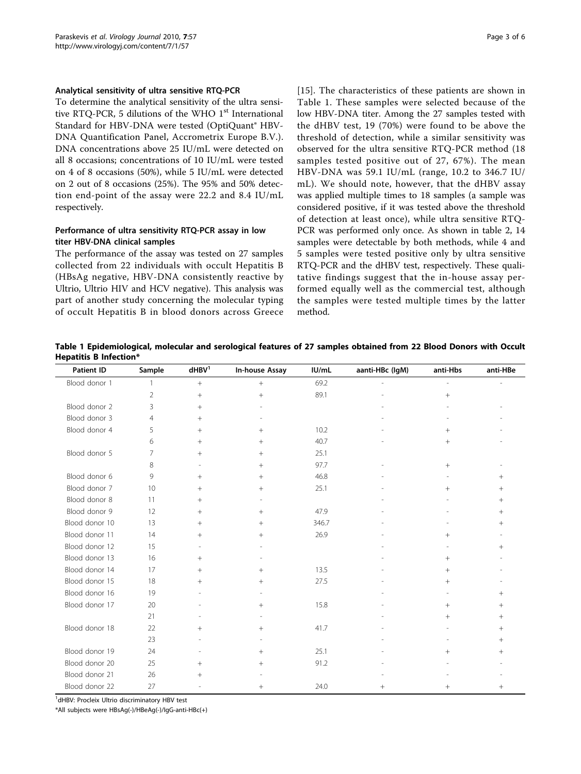#### Analytical sensitivity of ultra sensitive RTQ-PCR

To determine the analytical sensitivity of the ultra sensitive RTQ-PCR, 5 dilutions of the WHO  $1<sup>st</sup>$  International Standard for HBV-DNA were tested (OptiQuant® HBV-DNA Quantification Panel, Accrometrix Europe B.V.). DNA concentrations above 25 IU/mL were detected on all 8 occasions; concentrations of 10 IU/mL were tested on 4 of 8 occasions (50%), while 5 IU/mL were detected on 2 out of 8 occasions (25%). The 95% and 50% detection end-point of the assay were 22.2 and 8.4 IU/mL respectively.

## Performance of ultra sensitivity RTQ-PCR assay in low titer HBV-DNA clinical samples

The performance of the assay was tested on 27 samples collected from 22 individuals with occult Hepatitis B (HBsAg negative, HBV-DNA consistently reactive by Ultrio, Ultrio HIV and HCV negative). This analysis was part of another study concerning the molecular typing of occult Hepatitis B in blood donors across Greece [[15](#page-5-0)]. The characteristics of these patients are shown in Table 1. These samples were selected because of the low HBV-DNA titer. Among the 27 samples tested with the dHBV test, 19 (70%) were found to be above the threshold of detection, while a similar sensitivity was observed for the ultra sensitive RTQ-PCR method (18 samples tested positive out of 27, 67%). The mean HBV-DNA was 59.1 IU/mL (range, 10.2 to 346.7 IU/ mL). We should note, however, that the dHBV assay was applied multiple times to 18 samples (a sample was considered positive, if it was tested above the threshold of detection at least once), while ultra sensitive RTQ-PCR was performed only once. As shown in table [2,](#page-3-0) 14 samples were detectable by both methods, while 4 and 5 samples were tested positive only by ultra sensitive RTQ-PCR and the dHBV test, respectively. These qualitative findings suggest that the in-house assay performed equally well as the commercial test, although the samples were tested multiple times by the latter method.

Table 1 Epidemiological, molecular and serological features of 27 samples obtained from 22 Blood Donors with Occult Hepatitis B Infection\*

| <b>Patient ID</b> | Sample         | $d$ HB $V1$              | In-house Assay           | IU/mL | aanti-HBc (IgM) | anti-Hbs                 | anti-HBe        |
|-------------------|----------------|--------------------------|--------------------------|-------|-----------------|--------------------------|-----------------|
| Blood donor 1     | $\mathbf{1}$   | $\, +$                   | $\pm$                    | 69.2  |                 | $\overline{\phantom{a}}$ |                 |
|                   | $\overline{2}$ | $+$                      | $^{+}$                   | 89.1  |                 | $\! + \!\!\!\!$          |                 |
| Blood donor 2     | 3              | $^{+}$                   |                          |       |                 |                          |                 |
| Blood donor 3     | $\overline{4}$ | $^{+}$                   |                          |       |                 |                          |                 |
| Blood donor 4     | 5              | $\! +$                   | $^{+}$                   | 10.2  |                 | $^{+}$                   |                 |
|                   | 6              | $^{+}$                   | $+$                      | 40.7  |                 | $^{+}$                   |                 |
| Blood donor 5     | 7              | $^{+}$                   | $+$                      | 25.1  |                 |                          |                 |
|                   | 8              |                          | $+$                      | 97.7  |                 | $+$                      |                 |
| Blood donor 6     | 9              | $\! +$                   | $^{+}$                   | 46.8  |                 |                          | $\! + \!\!\!\!$ |
| Blood donor 7     | 10             | $^{+}$                   | $+$                      | 25.1  |                 | $+$                      | $+$             |
| Blood donor 8     | 11             | $^{+}$                   |                          |       |                 |                          | $+$             |
| Blood donor 9     | 12             | $^{+}$                   | $+$                      | 47.9  |                 |                          | $+$             |
| Blood donor 10    | 13             | $^{+}$                   | $^{+}$                   | 346.7 |                 |                          | $+$             |
| Blood donor 11    | 14             | $^{+}$                   | $^{+}$                   | 26.9  |                 | $+$                      |                 |
| Blood donor 12    | 15             | $\overline{\phantom{a}}$ |                          |       |                 |                          | $+$             |
| Blood donor 13    | 16             | $^{+}$                   |                          |       |                 | $+$                      |                 |
| Blood donor 14    | 17             | $^{+}$                   | $+$                      | 13.5  |                 | $+$                      |                 |
| Blood donor 15    | 18             | $^{+}$                   | $+$                      | 27.5  |                 | $+$                      |                 |
| Blood donor 16    | 19             |                          |                          |       |                 |                          | $+$             |
| Blood donor 17    | 20             |                          | $\! + \!\!\!\!$          | 15.8  |                 | $^{+}$                   | $^{+}$          |
|                   | 21             |                          |                          |       |                 | $+$                      | $^{+}$          |
| Blood donor 18    | 22             | $^{+}$                   | $^{+}$                   | 41.7  |                 |                          | $^{+}$          |
|                   | 23             |                          | $\overline{\phantom{a}}$ |       |                 |                          | $^{+}$          |
| Blood donor 19    | 24             |                          | $+$                      | 25.1  |                 | $+$                      | $^{+}$          |
| Blood donor 20    | 25             | $^{+}$                   | $^{+}$                   | 91.2  |                 |                          |                 |
| Blood donor 21    | 26             | $^{+}$                   |                          |       |                 |                          |                 |
| Blood donor 22    | 27             |                          | $^{+}$                   | 24.0  | $^{+}$          | $^{+}$                   | $^{+}$          |

<sup>1</sup>dHBV: Procleix Ultrio discriminatory HBV test

\*All subjects were HBsAg(-)/HBeAg(-)/IgG-anti-HBc(+)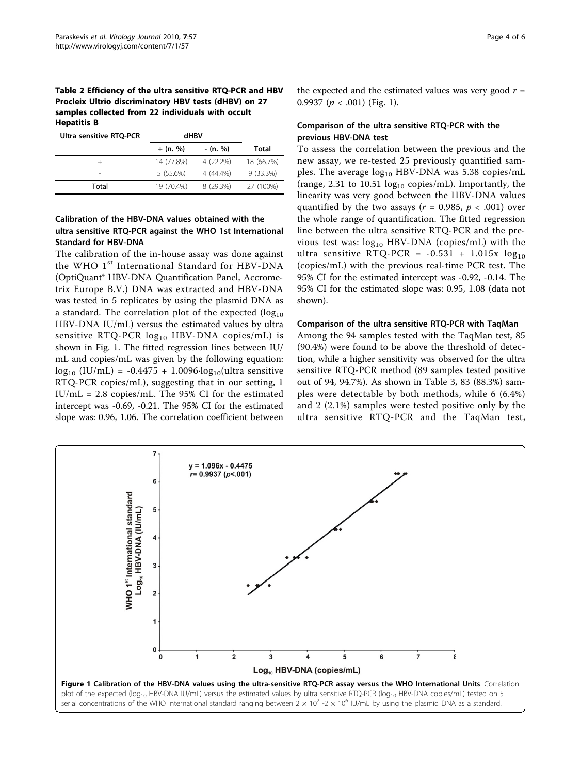<span id="page-3-0"></span>Table 2 Efficiency of the ultra sensitive RTQ-PCR and HBV Procleix Ultrio discriminatory HBV tests (dHBV) on 27 samples collected from 22 individuals with occult Hepatitis B

| Ultra sensitive RTQ-PCR | dHBV       |           |             |
|-------------------------|------------|-----------|-------------|
|                         | $+$ (n. %) | - (n. %)  | Total       |
|                         | 14 (77.8%) | 4 (22.2%) | 18 (66.7%)  |
| ۰                       | 5(55.6%)   | 4 (44.4%) | $9(33.3\%)$ |
| Total                   | 19 (70.4%) | 8 (29.3%) | 27 (100%)   |

## Calibration of the HBV-DNA values obtained with the ultra sensitive RTQ-PCR against the WHO 1st International Standard for HBV-DNA

The calibration of the in-house assay was done against the WHO 1<sup>st</sup> International Standard for HBV-DNA (OptiQuant® HBV-DNA Quantification Panel, Accrometrix Europe B.V.) DNA was extracted and HBV-DNA was tested in 5 replicates by using the plasmid DNA as a standard. The correlation plot of the expected  $(log_{10}$ HBV-DNA IU/mL) versus the estimated values by ultra sensitive RTQ-PCR  $log_{10}$  HBV-DNA copies/mL) is shown in Fig. 1. The fitted regression lines between IU/ mL and copies/mL was given by the following equation:  $\log_{10}$  (IU/mL) = -0.4475 + 1.0096 $\log_{10}$ (ultra sensitive RTQ-PCR copies/mL), suggesting that in our setting, 1 IU/mL = 2.8 copies/mL. The 95% CI for the estimated intercept was -0.69, -0.21. The 95% CI for the estimated slope was: 0.96, 1.06. The correlation coefficient between

the expected and the estimated values was very good  $r =$ 0.9937 ( $p < .001$ ) (Fig. 1).

#### Comparison of the ultra sensitive RTQ-PCR with the previous HBV-DNA test

To assess the correlation between the previous and the new assay, we re-tested 25 previously quantified samples. The average  $log_{10}$  HBV-DNA was 5.38 copies/mL (range, 2.31 to 10.51  $log_{10}$  copies/mL). Importantly, the linearity was very good between the HBV-DNA values quantified by the two assays ( $r = 0.985$ ,  $p < .001$ ) over the whole range of quantification. The fitted regression line between the ultra sensitive RTQ-PCR and the previous test was:  $log_{10}$  HBV-DNA (copies/mL) with the ultra sensitive RTQ-PCR =  $-0.531 + 1.015x \log_{10}$ (copies/mL) with the previous real-time PCR test. The 95% CI for the estimated intercept was -0.92, -0.14. The 95% CI for the estimated slope was: 0.95, 1.08 (data not shown).

#### Comparison of the ultra sensitive RTQ-PCR with TaqMan

Among the 94 samples tested with the TaqMan test, 85 (90.4%) were found to be above the threshold of detection, while a higher sensitivity was observed for the ultra sensitive RTQ-PCR method (89 samples tested positive out of 94, 94.7%). As shown in Table [3,](#page-4-0) 83 (88.3%) samples were detectable by both methods, while 6 (6.4%) and 2 (2.1%) samples were tested positive only by the ultra sensitive RTQ-PCR and the TaqMan test,

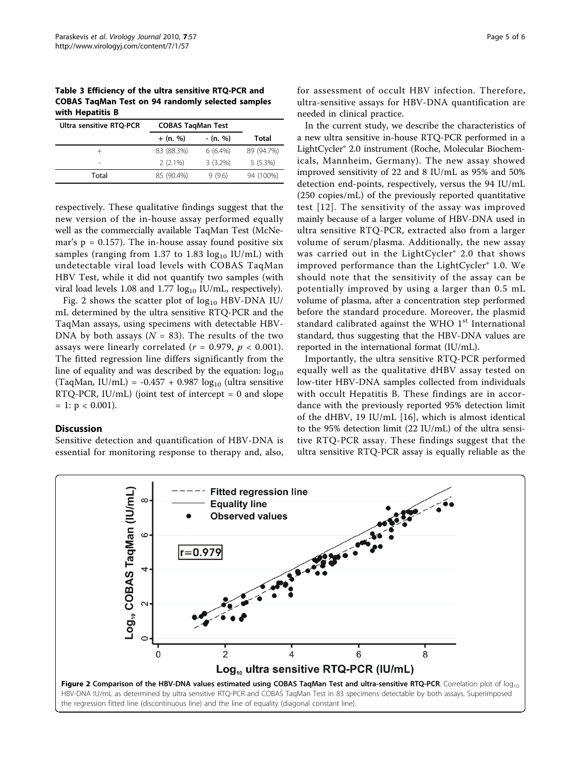<span id="page-4-0"></span>Table 3 Efficiency of the ultra sensitive RTQ-PCR and COBAS TaqMan Test on 94 randomly selected samples with Hepatitis B

| Ultra sensitive RTQ-PCR | <b>COBAS TagMan Test</b> |            |            |
|-------------------------|--------------------------|------------|------------|
|                         | $+$ (n. %)               | - (n. %)   | Total      |
|                         | 83 (88.3%)               | $6(6.4\%)$ | 89 (94.7%) |
| ۰                       | $2(2.1\%)$               | $3(3.2\%)$ | $5(5.3\%)$ |
| Total                   | 85 (90.4%)               | 9(9.6)     | 94 (100%)  |

respectively. These qualitative findings suggest that the new version of the in-house assay performed equally well as the commercially available TaqMan Test (McNemar's  $p = 0.157$ ). The in-house assay found positive six samples (ranging from 1.37 to 1.83  $log_{10}$  IU/mL) with undetectable viral load levels with COBAS TaqMan HBV Test, while it did not quantify two samples (with viral load levels 1.08 and 1.77  $log_{10}$  IU/mL, respectively).

Fig. 2 shows the scatter plot of  $log_{10}$  HBV-DNA IU/ mL determined by the ultra sensitive RTQ-PCR and the TaqMan assays, using specimens with detectable HBV-DNA by both assays ( $N = 83$ ). The results of the two assays were linearly correlated ( $r = 0.979$ ,  $p < 0.001$ ). The fitted regression line differs significantly from the line of equality and was described by the equation:  $log_{10}$ (TaqMan, IU/mL) = -0.457 + 0.987  $log_{10}$  (ultra sensitive  $RTQ-PCR$ ,  $IU/mL$  (joint test of intercept = 0 and slope  $= 1: p < 0.001$ ).

#### **Discussion**

Sensitive detection and quantification of HBV-DNA is essential for monitoring response to therapy and, also, for assessment of occult HBV infection. Therefore, ultra-sensitive assays for HBV-DNA quantification are needed in clinical practice.

In the current study, we describe the characteristics of a new ultra sensitive in-house RTQ-PCR performed in a LightCycler® 2.0 instrument (Roche, Molecular Biochemicals, Mannheim, Germany). The new assay showed improved sensitivity of 22 and 8 IU/mL as 95% and 50% detection end-points, respectively, versus the 94 IU/mL (250 copies/mL) of the previously reported quantitative test [[12](#page-5-0)]. The sensitivity of the assay was improved mainly because of a larger volume of HBV-DNA used in ultra sensitive RTQ-PCR, extracted also from a larger volume of serum/plasma. Additionally, the new assay was carried out in the LightCycler® 2.0 that shows improved performance than the LightCycler® 1.0. We should note that the sensitivity of the assay can be potentially improved by using a larger than 0.5 mL volume of plasma, after a concentration step performed before the standard procedure. Moreover, the plasmid standard calibrated against the WHO  $1<sup>st</sup>$  International standard, thus suggesting that the HBV-DNA values are reported in the international format (IU/mL).

Importantly, the ultra sensitive RTQ-PCR performed equally well as the qualitative dHBV assay tested on low-titer HBV-DNA samples collected from individuals with occult Hepatitis B. These findings are in accordance with the previously reported 95% detection limit of the dHBV, 19 IU/mL [[16\]](#page-5-0), which is almost identical to the 95% detection limit (22 IU/mL) of the ultra sensitive RTQ-PCR assay. These findings suggest that the ultra sensitive RTQ-PCR assay is equally reliable as the